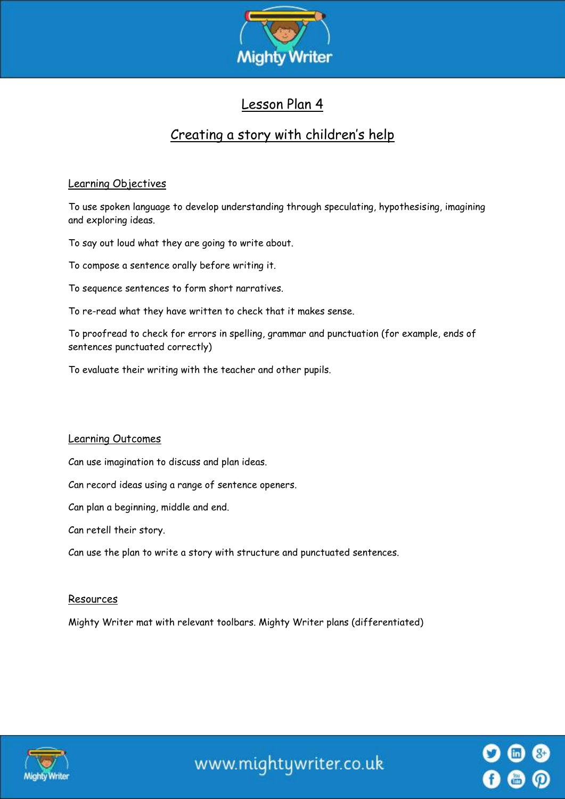

## Lesson Plan 4

# Creating a story with children's help

#### Learning Objectives

To use spoken language to develop understanding through speculating, hypothesising, imagining and exploring ideas.

To say out loud what they are going to write about.

To compose a sentence orally before writing it.

To sequence sentences to form short narratives.

To re-read what they have written to check that it makes sense.

To proofread to check for errors in spelling, grammar and punctuation (for example, ends of sentences punctuated correctly)

To evaluate their writing with the teacher and other pupils.

#### Learning Outcomes

Can use imagination to discuss and plan ideas.

Can record ideas using a range of sentence openers.

Can plan a beginning, middle and end.

Can retell their story.

Can use the plan to write a story with structure and punctuated sentences.

#### Resources

Mighty Writer mat with relevant toolbars. Mighty Writer plans (differentiated)



www.mightywriter.co.uk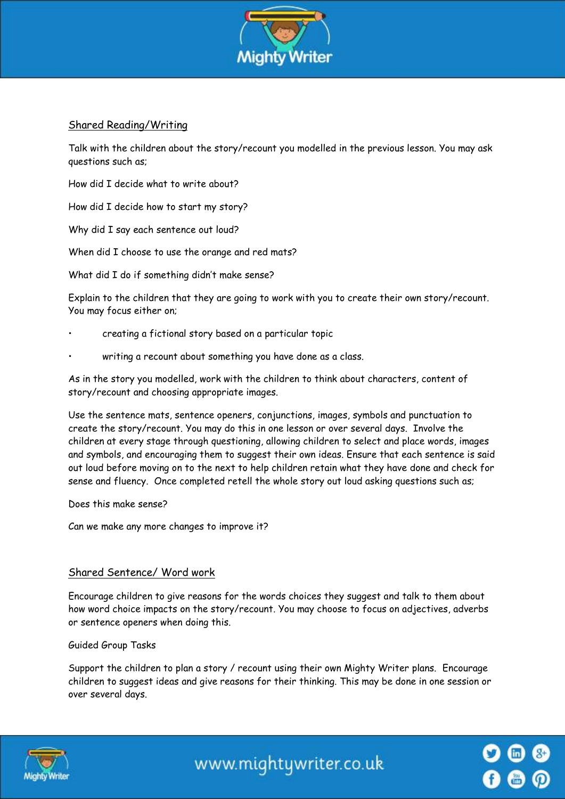

#### Shared Reading/Writing

Talk with the children about the story/recount you modelled in the previous lesson. You may ask questions such as;

How did I decide what to write about?

How did I decide how to start my story?

Why did I say each sentence out loud?

When did I choose to use the orange and red mats?

What did I do if something didn't make sense?

Explain to the children that they are going to work with you to create their own story/recount. You may focus either on;

- creating a fictional story based on a particular topic
- writing a recount about something you have done as a class.

As in the story you modelled, work with the children to think about characters, content of story/recount and choosing appropriate images.

Use the sentence mats, sentence openers, conjunctions, images, symbols and punctuation to create the story/recount. You may do this in one lesson or over several days. Involve the children at every stage through questioning, allowing children to select and place words, images and symbols, and encouraging them to suggest their own ideas. Ensure that each sentence is said out loud before moving on to the next to help children retain what they have done and check for sense and fluency. Once completed retell the whole story out loud asking questions such as;

Does this make sense?

Can we make any more changes to improve it?

#### Shared Sentence/ Word work

Encourage children to give reasons for the words choices they suggest and talk to them about how word choice impacts on the story/recount. You may choose to focus on adjectives, adverbs or sentence openers when doing this.

Guided Group Tasks

Support the children to plan a story / recount using their own Mighty Writer plans. Encourage children to suggest ideas and give reasons for their thinking. This may be done in one session or over several days.



www.mightywriter.co.uk